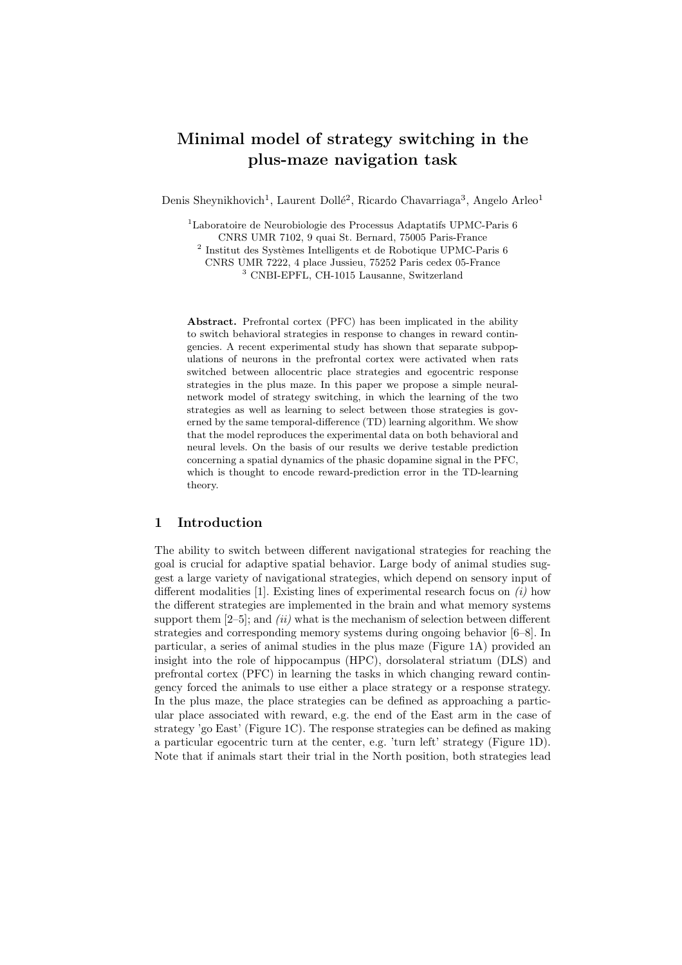# Minimal model of strategy switching in the plus-maze navigation task

Denis Sheynikhovich<sup>1</sup>, Laurent Dollé<sup>2</sup>, Ricardo Chavarriaga<sup>3</sup>, Angelo Arleo<sup>1</sup>

<sup>1</sup>Laboratoire de Neurobiologie des Processus Adaptatifs UPMC-Paris 6 CNRS UMR 7102, 9 quai St. Bernard, 75005 Paris-France

Abstract. Prefrontal cortex (PFC) has been implicated in the ability to switch behavioral strategies in response to changes in reward contingencies. A recent experimental study has shown that separate subpopulations of neurons in the prefrontal cortex were activated when rats switched between allocentric place strategies and egocentric response strategies in the plus maze. In this paper we propose a simple neuralnetwork model of strategy switching, in which the learning of the two strategies as well as learning to select between those strategies is governed by the same temporal-difference (TD) learning algorithm. We show that the model reproduces the experimental data on both behavioral and neural levels. On the basis of our results we derive testable prediction concerning a spatial dynamics of the phasic dopamine signal in the PFC, which is thought to encode reward-prediction error in the TD-learning theory.

## 1 Introduction

The ability to switch between different navigational strategies for reaching the goal is crucial for adaptive spatial behavior. Large body of animal studies suggest a large variety of navigational strategies, which depend on sensory input of different modalities [1]. Existing lines of experimental research focus on  $(i)$  how the different strategies are implemented in the brain and what memory systems support them  $[2-5]$ ; and  $(ii)$  what is the mechanism of selection between different strategies and corresponding memory systems during ongoing behavior [6–8]. In particular, a series of animal studies in the plus maze (Figure 1A) provided an insight into the role of hippocampus (HPC), dorsolateral striatum (DLS) and prefrontal cortex (PFC) in learning the tasks in which changing reward contingency forced the animals to use either a place strategy or a response strategy. In the plus maze, the place strategies can be defined as approaching a particular place associated with reward, e.g. the end of the East arm in the case of strategy 'go East' (Figure 1C). The response strategies can be defined as making a particular egocentric turn at the center, e.g. 'turn left' strategy (Figure 1D). Note that if animals start their trial in the North position, both strategies lead

 $^2$ Institut des Systèmes Intelligents et de Robotique UPMC-Paris  $6$ CNRS UMR 7222, 4 place Jussieu, 75252 Paris cedex 05-France <sup>3</sup> CNBI-EPFL, CH-1015 Lausanne, Switzerland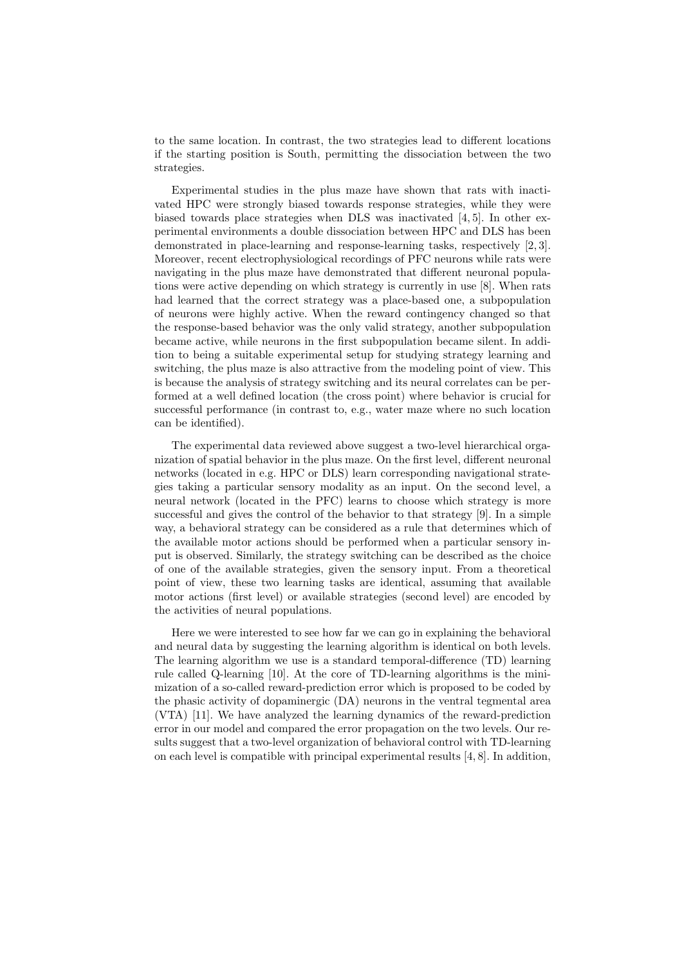to the same location. In contrast, the two strategies lead to different locations if the starting position is South, permitting the dissociation between the two strategies.

Experimental studies in the plus maze have shown that rats with inactivated HPC were strongly biased towards response strategies, while they were biased towards place strategies when DLS was inactivated [4, 5]. In other experimental environments a double dissociation between HPC and DLS has been demonstrated in place-learning and response-learning tasks, respectively [2, 3]. Moreover, recent electrophysiological recordings of PFC neurons while rats were navigating in the plus maze have demonstrated that different neuronal populations were active depending on which strategy is currently in use [8]. When rats had learned that the correct strategy was a place-based one, a subpopulation of neurons were highly active. When the reward contingency changed so that the response-based behavior was the only valid strategy, another subpopulation became active, while neurons in the first subpopulation became silent. In addition to being a suitable experimental setup for studying strategy learning and switching, the plus maze is also attractive from the modeling point of view. This is because the analysis of strategy switching and its neural correlates can be performed at a well defined location (the cross point) where behavior is crucial for successful performance (in contrast to, e.g., water maze where no such location can be identified).

The experimental data reviewed above suggest a two-level hierarchical organization of spatial behavior in the plus maze. On the first level, different neuronal networks (located in e.g. HPC or DLS) learn corresponding navigational strategies taking a particular sensory modality as an input. On the second level, a neural network (located in the PFC) learns to choose which strategy is more successful and gives the control of the behavior to that strategy [9]. In a simple way, a behavioral strategy can be considered as a rule that determines which of the available motor actions should be performed when a particular sensory input is observed. Similarly, the strategy switching can be described as the choice of one of the available strategies, given the sensory input. From a theoretical point of view, these two learning tasks are identical, assuming that available motor actions (first level) or available strategies (second level) are encoded by the activities of neural populations.

Here we were interested to see how far we can go in explaining the behavioral and neural data by suggesting the learning algorithm is identical on both levels. The learning algorithm we use is a standard temporal-difference (TD) learning rule called Q-learning [10]. At the core of TD-learning algorithms is the minimization of a so-called reward-prediction error which is proposed to be coded by the phasic activity of dopaminergic (DA) neurons in the ventral tegmental area (VTA) [11]. We have analyzed the learning dynamics of the reward-prediction error in our model and compared the error propagation on the two levels. Our results suggest that a two-level organization of behavioral control with TD-learning on each level is compatible with principal experimental results [4, 8]. In addition,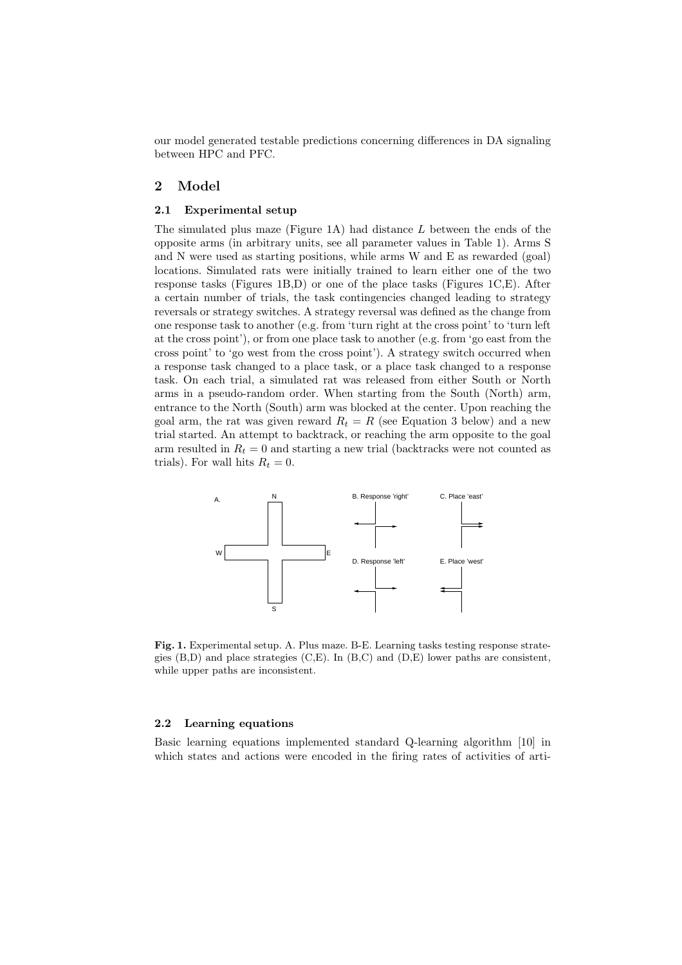our model generated testable predictions concerning differences in DA signaling between HPC and PFC.

## 2 Model

## 2.1 Experimental setup

The simulated plus maze (Figure 1A) had distance  $L$  between the ends of the opposite arms (in arbitrary units, see all parameter values in Table 1). Arms S and N were used as starting positions, while arms W and E as rewarded (goal) locations. Simulated rats were initially trained to learn either one of the two response tasks (Figures 1B,D) or one of the place tasks (Figures 1C,E). After a certain number of trials, the task contingencies changed leading to strategy reversals or strategy switches. A strategy reversal was defined as the change from one response task to another (e.g. from 'turn right at the cross point' to 'turn left at the cross point'), or from one place task to another (e.g. from 'go east from the cross point' to 'go west from the cross point'). A strategy switch occurred when a response task changed to a place task, or a place task changed to a response task. On each trial, a simulated rat was released from either South or North arms in a pseudo-random order. When starting from the South (North) arm, entrance to the North (South) arm was blocked at the center. Upon reaching the goal arm, the rat was given reward  $R_t = R$  (see Equation 3 below) and a new trial started. An attempt to backtrack, or reaching the arm opposite to the goal arm resulted in  $R_t = 0$  and starting a new trial (backtracks were not counted as trials). For wall hits  $R_t = 0$ .



Fig. 1. Experimental setup. A. Plus maze. B-E. Learning tasks testing response strategies (B,D) and place strategies (C,E). In (B,C) and (D,E) lower paths are consistent, while upper paths are inconsistent.

#### 2.2 Learning equations

Basic learning equations implemented standard Q-learning algorithm [10] in which states and actions were encoded in the firing rates of activities of arti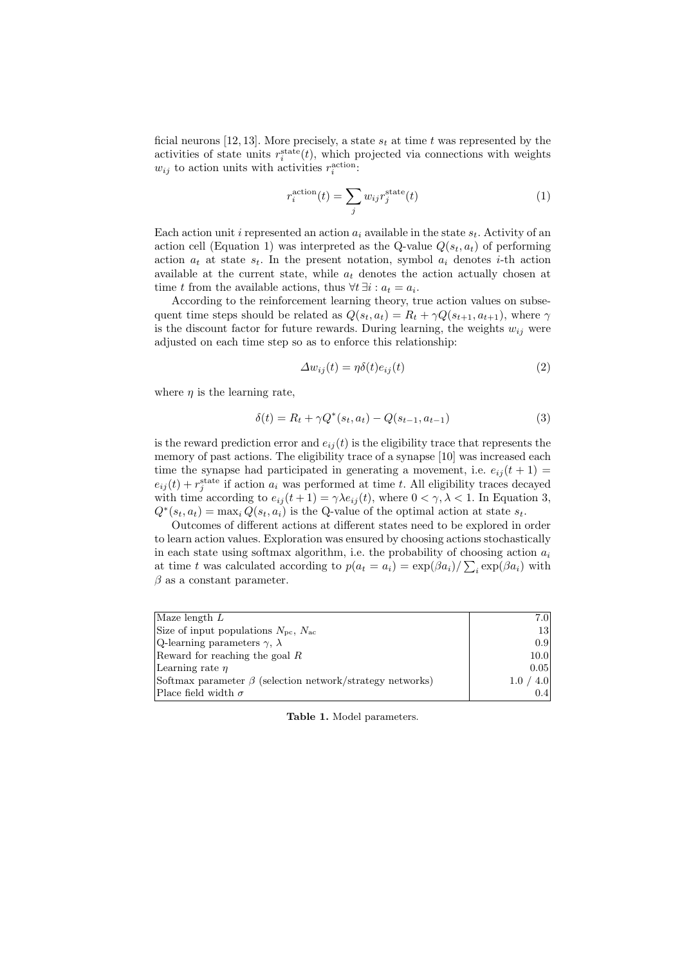ficial neurons [12, 13]. More precisely, a state  $s_t$  at time t was represented by the activities of state units  $r_i^{\text{state}}(t)$ , which projected via connections with weights  $w_{ij}$  to action units with activities  $r_i^{\text{action}}$ :

$$
r_i^{\text{action}}(t) = \sum_j w_{ij} r_j^{\text{state}}(t)
$$
 (1)

Each action unit i represented an action  $a_i$  available in the state  $s_t$ . Activity of an action cell (Equation 1) was interpreted as the Q-value  $Q(s_t, a_t)$  of performing action  $a_t$  at state  $s_t$ . In the present notation, symbol  $a_i$  denotes *i*-th action available at the current state, while  $a_t$  denotes the action actually chosen at time t from the available actions, thus  $\forall t \exists i : a_t = a_i$ .

According to the reinforcement learning theory, true action values on subsequent time steps should be related as  $Q(s_t, a_t) = R_t + \gamma Q(s_{t+1}, a_{t+1}),$  where  $\gamma$ is the discount factor for future rewards. During learning, the weights  $w_{ij}$  were adjusted on each time step so as to enforce this relationship:

$$
\Delta w_{ij}(t) = \eta \delta(t) e_{ij}(t) \tag{2}
$$

where  $\eta$  is the learning rate,

$$
\delta(t) = R_t + \gamma Q^*(s_t, a_t) - Q(s_{t-1}, a_{t-1})
$$
\n(3)

is the reward prediction error and  $e_{ij}(t)$  is the eligibility trace that represents the memory of past actions. The eligibility trace of a synapse [10] was increased each time the synapse had participated in generating a movement, i.e.  $e_{ij}(t + 1) =$  $e_{ij}(t) + r_j^{\text{state}}$  if action  $a_i$  was performed at time t. All eligibility traces decayed with time according to  $e_{ij}(t+1) = \gamma \lambda e_{ij}(t)$ , where  $0 < \gamma, \lambda < 1$ . In Equation 3,  $Q^*(s_t, a_t) = \max_i \widetilde{Q}(s_t, a_i)$  is the Q-value of the optimal action at state  $s_t$ .

Outcomes of different actions at different states need to be explored in order to learn action values. Exploration was ensured by choosing actions stochastically in each state using softmax algorithm, i.e. the probability of choosing action  $a_i$ at time t was calculated according to  $p(a_t = a_i) = \exp(\beta a_i) / \sum_i \exp(\beta a_i)$  with  $\beta$  as a constant parameter.

| Maze length $L$                                                 | 7.01       |
|-----------------------------------------------------------------|------------|
| Size of input populations $N_{\text{pc}}$ , $N_{\text{ac}}$     | 13         |
| Q-learning parameters $\gamma$ , $\lambda$                      | 0.9        |
| Reward for reaching the goal $R$                                | 10.0       |
| Learning rate $\eta$                                            | 0.05       |
| Softmax parameter $\beta$ (selection network/strategy networks) | 4.0<br>1.0 |
| Place field width $\sigma$                                      | 0.4        |

Table 1. Model parameters.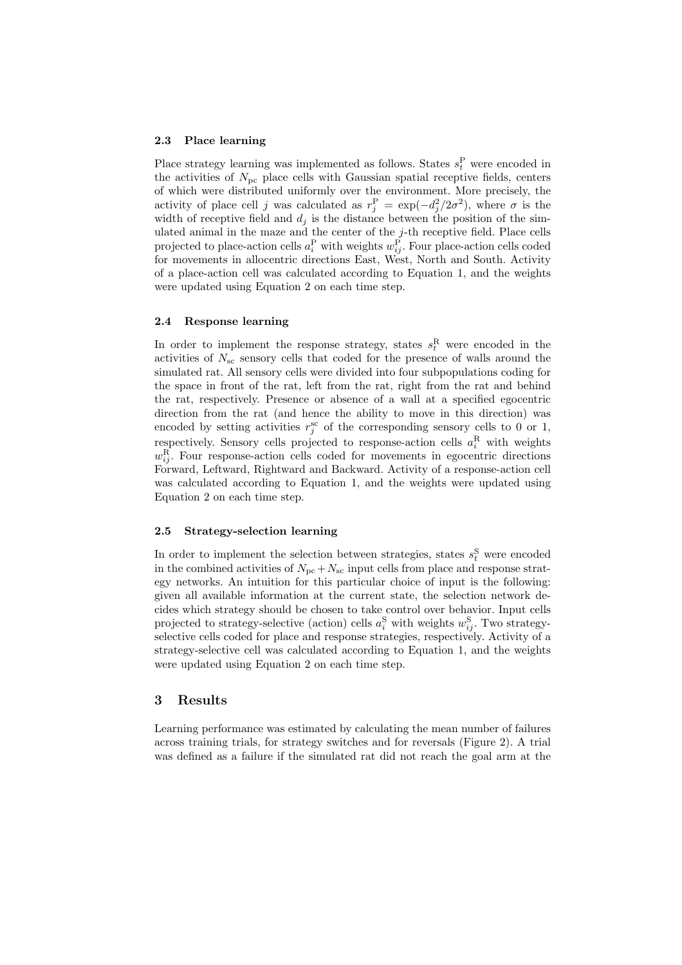#### 2.3 Place learning

Place strategy learning was implemented as follows. States  $s_t^P$  were encoded in the activities of  $N_{\text{pc}}$  place cells with Gaussian spatial receptive fields, centers of which were distributed uniformly over the environment. More precisely, the activity of place cell j was calculated as  $r_j^{\text{P}} = \exp(-d_j^2/2\sigma^2)$ , where  $\sigma$  is the width of receptive field and  $d_j$  is the distance between the position of the simulated animal in the maze and the center of the j-th receptive field. Place cells projected to place-action cells  $a_i^P$  with weights  $w_{ij}^P$ . Four place-action cells coded for movements in allocentric directions East, West, North and South. Activity of a place-action cell was calculated according to Equation 1, and the weights were updated using Equation 2 on each time step.

## 2.4 Response learning

In order to implement the response strategy, states  $s_t^{\rm R}$  were encoded in the activities of  $N_{\rm sc}$  sensory cells that coded for the presence of walls around the simulated rat. All sensory cells were divided into four subpopulations coding for the space in front of the rat, left from the rat, right from the rat and behind the rat, respectively. Presence or absence of a wall at a specified egocentric direction from the rat (and hence the ability to move in this direction) was encoded by setting activities  $r_j^{\rm sc}$  of the corresponding sensory cells to 0 or 1, respectively. Sensory cells projected to response-action cells  $a_i^R$  with weights  $w_{ij}^{\text{R}}$ . Four response-action cells coded for movements in egocentric directions Forward, Leftward, Rightward and Backward. Activity of a response-action cell was calculated according to Equation 1, and the weights were updated using Equation 2 on each time step.

# 2.5 Strategy-selection learning

In order to implement the selection between strategies, states  $s_t^S$  were encoded in the combined activities of  $N_{\text{pc}}+N_{\text{sc}}$  input cells from place and response strategy networks. An intuition for this particular choice of input is the following: given all available information at the current state, the selection network decides which strategy should be chosen to take control over behavior. Input cells projected to strategy-selective (action) cells  $a_i^{\rm S}$  with weights  $w_{ij}^{\rm S}$ . Two strategyselective cells coded for place and response strategies, respectively. Activity of a strategy-selective cell was calculated according to Equation 1, and the weights were updated using Equation 2 on each time step.

## 3 Results

Learning performance was estimated by calculating the mean number of failures across training trials, for strategy switches and for reversals (Figure 2). A trial was defined as a failure if the simulated rat did not reach the goal arm at the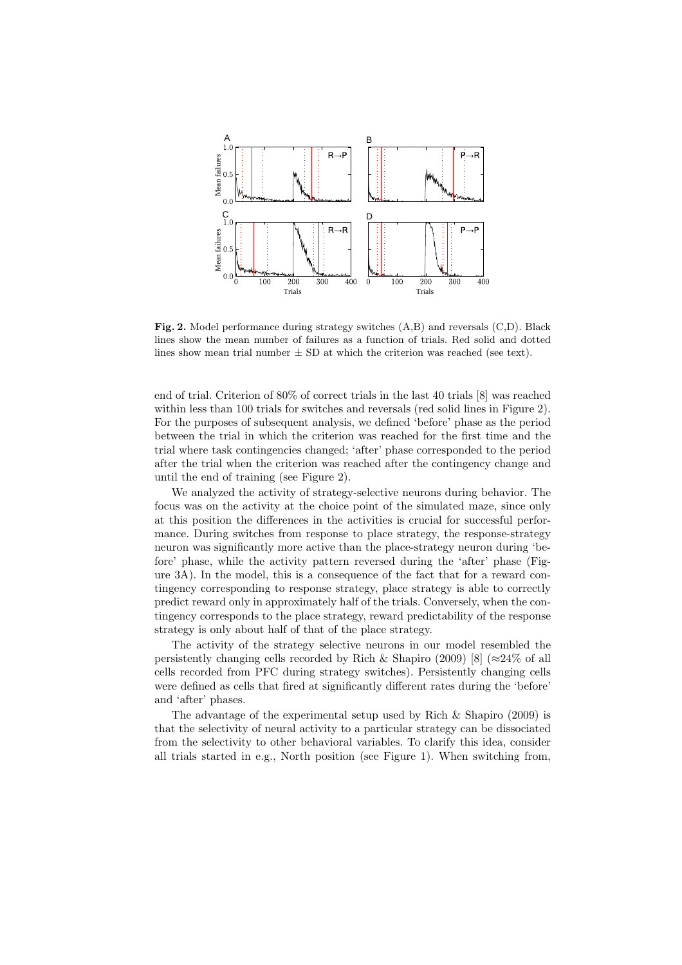

Fig. 2. Model performance during strategy switches (A,B) and reversals (C,D). Black lines show the mean number of failures as a function of trials. Red solid and dotted lines show mean trial number  $\pm$  SD at which the criterion was reached (see text).

end of trial. Criterion of 80% of correct trials in the last 40 trials [8] was reached within less than 100 trials for switches and reversals (red solid lines in Figure 2). For the purposes of subsequent analysis, we defined 'before' phase as the period between the trial in which the criterion was reached for the first time and the trial where task contingencies changed; 'after' phase corresponded to the period after the trial when the criterion was reached after the contingency change and until the end of training (see Figure 2).

We analyzed the activity of strategy-selective neurons during behavior. The focus was on the activity at the choice point of the simulated maze, since only at this position the differences in the activities is crucial for successful performance. During switches from response to place strategy, the response-strategy neuron was significantly more active than the place-strategy neuron during 'before' phase, while the activity pattern reversed during the 'after' phase (Figure 3A). In the model, this is a consequence of the fact that for a reward contingency corresponding to response strategy, place strategy is able to correctly predict reward only in approximately half of the trials. Conversely, when the contingency corresponds to the place strategy, reward predictability of the response strategy is only about half of that of the place strategy.

The activity of the strategy selective neurons in our model resembled the persistently changing cells recorded by Rich & Shapiro (2009) [8] ( $\approx$ 24% of all cells recorded from PFC during strategy switches). Persistently changing cells were defined as cells that fired at significantly different rates during the 'before' and 'after' phases.

The advantage of the experimental setup used by Rich & Shapiro (2009) is that the selectivity of neural activity to a particular strategy can be dissociated from the selectivity to other behavioral variables. To clarify this idea, consider all trials started in e.g., North position (see Figure 1). When switching from,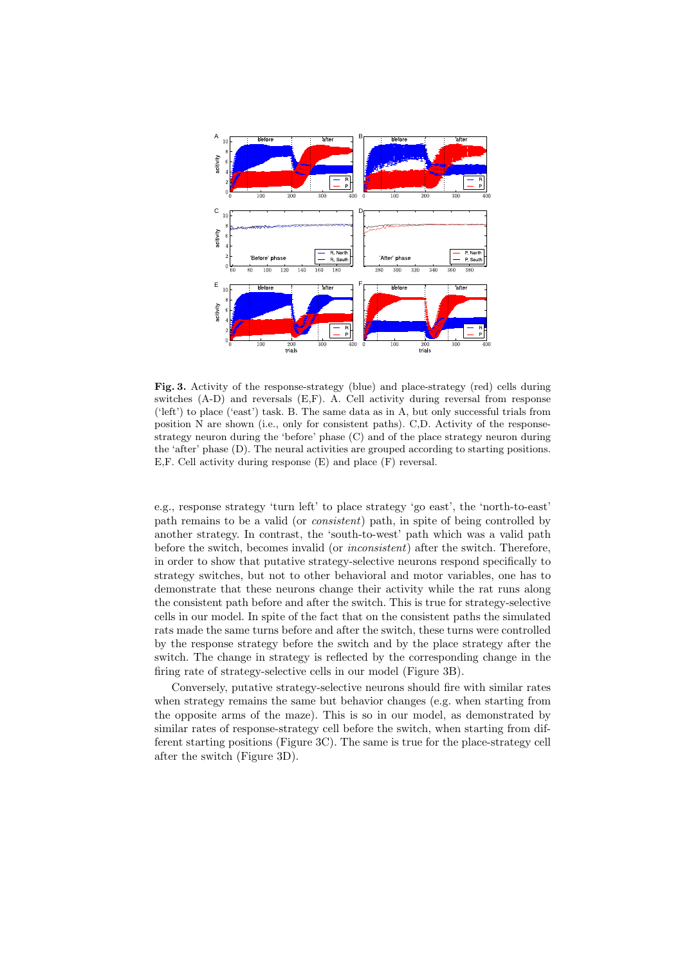

Fig. 3. Activity of the response-strategy (blue) and place-strategy (red) cells during switches (A-D) and reversals (E,F). A. Cell activity during reversal from response ('left') to place ('east') task. B. The same data as in A, but only successful trials from position N are shown (i.e., only for consistent paths). C,D. Activity of the responsestrategy neuron during the 'before' phase (C) and of the place strategy neuron during the 'after' phase (D). The neural activities are grouped according to starting positions. E,F. Cell activity during response (E) and place (F) reversal.

e.g., response strategy 'turn left' to place strategy 'go east', the 'north-to-east' path remains to be a valid (or consistent) path, in spite of being controlled by another strategy. In contrast, the 'south-to-west' path which was a valid path before the switch, becomes invalid (or inconsistent) after the switch. Therefore, in order to show that putative strategy-selective neurons respond specifically to strategy switches, but not to other behavioral and motor variables, one has to demonstrate that these neurons change their activity while the rat runs along the consistent path before and after the switch. This is true for strategy-selective cells in our model. In spite of the fact that on the consistent paths the simulated rats made the same turns before and after the switch, these turns were controlled by the response strategy before the switch and by the place strategy after the switch. The change in strategy is reflected by the corresponding change in the firing rate of strategy-selective cells in our model (Figure 3B).

Conversely, putative strategy-selective neurons should fire with similar rates when strategy remains the same but behavior changes (e.g. when starting from the opposite arms of the maze). This is so in our model, as demonstrated by similar rates of response-strategy cell before the switch, when starting from different starting positions (Figure 3C). The same is true for the place-strategy cell after the switch (Figure 3D).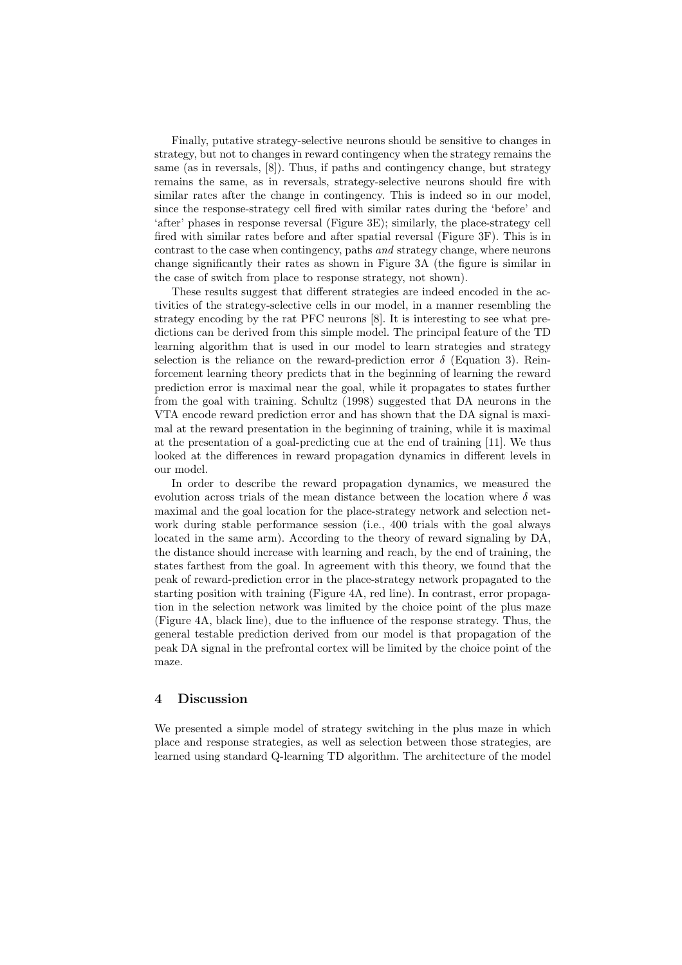Finally, putative strategy-selective neurons should be sensitive to changes in strategy, but not to changes in reward contingency when the strategy remains the same (as in reversals, [8]). Thus, if paths and contingency change, but strategy remains the same, as in reversals, strategy-selective neurons should fire with similar rates after the change in contingency. This is indeed so in our model, since the response-strategy cell fired with similar rates during the 'before' and 'after' phases in response reversal (Figure 3E); similarly, the place-strategy cell fired with similar rates before and after spatial reversal (Figure 3F). This is in contrast to the case when contingency, paths and strategy change, where neurons change significantly their rates as shown in Figure 3A (the figure is similar in the case of switch from place to response strategy, not shown).

These results suggest that different strategies are indeed encoded in the activities of the strategy-selective cells in our model, in a manner resembling the strategy encoding by the rat PFC neurons [8]. It is interesting to see what predictions can be derived from this simple model. The principal feature of the TD learning algorithm that is used in our model to learn strategies and strategy selection is the reliance on the reward-prediction error  $\delta$  (Equation 3). Reinforcement learning theory predicts that in the beginning of learning the reward prediction error is maximal near the goal, while it propagates to states further from the goal with training. Schultz (1998) suggested that DA neurons in the VTA encode reward prediction error and has shown that the DA signal is maximal at the reward presentation in the beginning of training, while it is maximal at the presentation of a goal-predicting cue at the end of training [11]. We thus looked at the differences in reward propagation dynamics in different levels in our model.

In order to describe the reward propagation dynamics, we measured the evolution across trials of the mean distance between the location where  $\delta$  was maximal and the goal location for the place-strategy network and selection network during stable performance session (i.e., 400 trials with the goal always located in the same arm). According to the theory of reward signaling by DA, the distance should increase with learning and reach, by the end of training, the states farthest from the goal. In agreement with this theory, we found that the peak of reward-prediction error in the place-strategy network propagated to the starting position with training (Figure 4A, red line). In contrast, error propagation in the selection network was limited by the choice point of the plus maze (Figure 4A, black line), due to the influence of the response strategy. Thus, the general testable prediction derived from our model is that propagation of the peak DA signal in the prefrontal cortex will be limited by the choice point of the maze.

# 4 Discussion

We presented a simple model of strategy switching in the plus maze in which place and response strategies, as well as selection between those strategies, are learned using standard Q-learning TD algorithm. The architecture of the model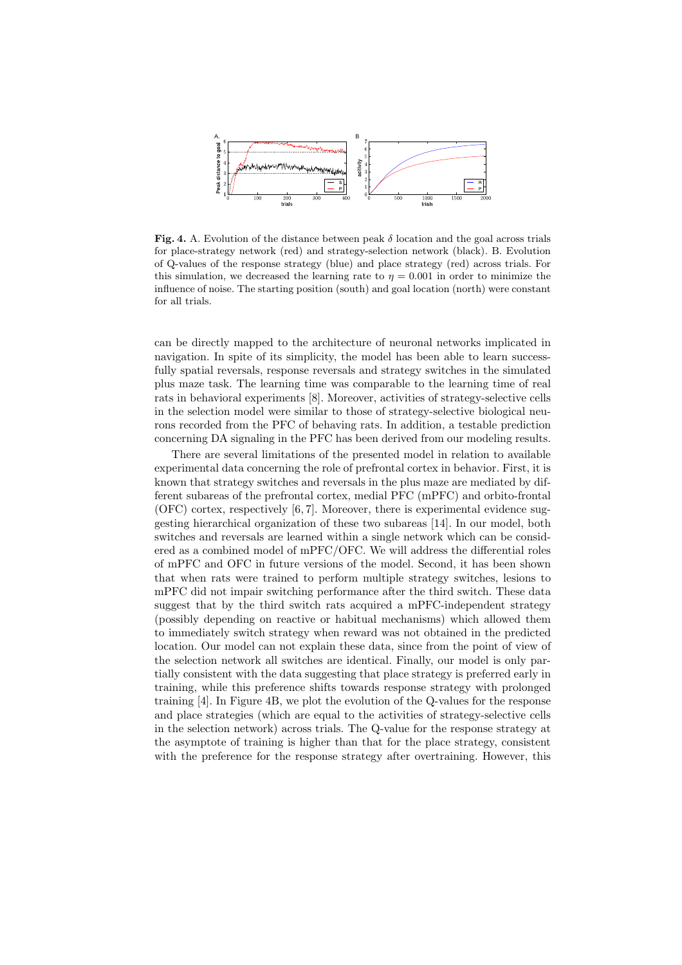

Fig. 4. A. Evolution of the distance between peak  $\delta$  location and the goal across trials for place-strategy network (red) and strategy-selection network (black). B. Evolution of Q-values of the response strategy (blue) and place strategy (red) across trials. For this simulation, we decreased the learning rate to  $\eta = 0.001$  in order to minimize the influence of noise. The starting position (south) and goal location (north) were constant for all trials.

can be directly mapped to the architecture of neuronal networks implicated in navigation. In spite of its simplicity, the model has been able to learn successfully spatial reversals, response reversals and strategy switches in the simulated plus maze task. The learning time was comparable to the learning time of real rats in behavioral experiments [8]. Moreover, activities of strategy-selective cells in the selection model were similar to those of strategy-selective biological neurons recorded from the PFC of behaving rats. In addition, a testable prediction concerning DA signaling in the PFC has been derived from our modeling results.

There are several limitations of the presented model in relation to available experimental data concerning the role of prefrontal cortex in behavior. First, it is known that strategy switches and reversals in the plus maze are mediated by different subareas of the prefrontal cortex, medial PFC (mPFC) and orbito-frontal (OFC) cortex, respectively [6, 7]. Moreover, there is experimental evidence suggesting hierarchical organization of these two subareas [14]. In our model, both switches and reversals are learned within a single network which can be considered as a combined model of mPFC/OFC. We will address the differential roles of mPFC and OFC in future versions of the model. Second, it has been shown that when rats were trained to perform multiple strategy switches, lesions to mPFC did not impair switching performance after the third switch. These data suggest that by the third switch rats acquired a mPFC-independent strategy (possibly depending on reactive or habitual mechanisms) which allowed them to immediately switch strategy when reward was not obtained in the predicted location. Our model can not explain these data, since from the point of view of the selection network all switches are identical. Finally, our model is only partially consistent with the data suggesting that place strategy is preferred early in training, while this preference shifts towards response strategy with prolonged training [4]. In Figure 4B, we plot the evolution of the Q-values for the response and place strategies (which are equal to the activities of strategy-selective cells in the selection network) across trials. The Q-value for the response strategy at the asymptote of training is higher than that for the place strategy, consistent with the preference for the response strategy after overtraining. However, this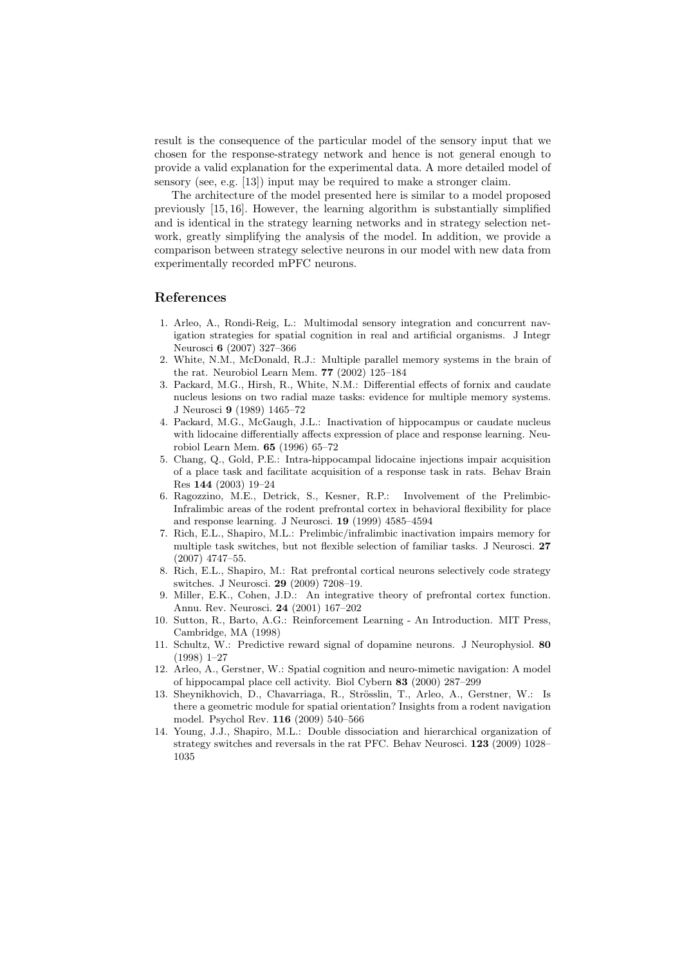result is the consequence of the particular model of the sensory input that we chosen for the response-strategy network and hence is not general enough to provide a valid explanation for the experimental data. A more detailed model of sensory (see, e.g. [13]) input may be required to make a stronger claim.

The architecture of the model presented here is similar to a model proposed previously [15, 16]. However, the learning algorithm is substantially simplified and is identical in the strategy learning networks and in strategy selection network, greatly simplifying the analysis of the model. In addition, we provide a comparison between strategy selective neurons in our model with new data from experimentally recorded mPFC neurons.

## References

- 1. Arleo, A., Rondi-Reig, L.: Multimodal sensory integration and concurrent navigation strategies for spatial cognition in real and artificial organisms. J Integr Neurosci 6 (2007) 327–366
- 2. White, N.M., McDonald, R.J.: Multiple parallel memory systems in the brain of the rat. Neurobiol Learn Mem. 77 (2002) 125–184
- 3. Packard, M.G., Hirsh, R., White, N.M.: Differential effects of fornix and caudate nucleus lesions on two radial maze tasks: evidence for multiple memory systems. J Neurosci 9 (1989) 1465–72
- 4. Packard, M.G., McGaugh, J.L.: Inactivation of hippocampus or caudate nucleus with lidocaine differentially affects expression of place and response learning. Neurobiol Learn Mem. 65 (1996) 65–72
- 5. Chang, Q., Gold, P.E.: Intra-hippocampal lidocaine injections impair acquisition of a place task and facilitate acquisition of a response task in rats. Behav Brain Res 144 (2003) 19–24
- 6. Ragozzino, M.E., Detrick, S., Kesner, R.P.: Involvement of the Prelimbic-Infralimbic areas of the rodent prefrontal cortex in behavioral flexibility for place and response learning. J Neurosci. 19 (1999) 4585–4594
- 7. Rich, E.L., Shapiro, M.L.: Prelimbic/infralimbic inactivation impairs memory for multiple task switches, but not flexible selection of familiar tasks. J Neurosci. 27 (2007) 4747–55.
- 8. Rich, E.L., Shapiro, M.: Rat prefrontal cortical neurons selectively code strategy switches. J Neurosci. 29 (2009) 7208–19.
- 9. Miller, E.K., Cohen, J.D.: An integrative theory of prefrontal cortex function. Annu. Rev. Neurosci. 24 (2001) 167–202
- 10. Sutton, R., Barto, A.G.: Reinforcement Learning An Introduction. MIT Press, Cambridge, MA (1998)
- 11. Schultz, W.: Predictive reward signal of dopamine neurons. J Neurophysiol. 80 (1998) 1–27
- 12. Arleo, A., Gerstner, W.: Spatial cognition and neuro-mimetic navigation: A model of hippocampal place cell activity. Biol Cybern 83 (2000) 287–299
- 13. Sheynikhovich, D., Chavarriaga, R., Strösslin, T., Arleo, A., Gerstner, W.: Is there a geometric module for spatial orientation? Insights from a rodent navigation model. Psychol Rev. 116 (2009) 540–566
- 14. Young, J.J., Shapiro, M.L.: Double dissociation and hierarchical organization of strategy switches and reversals in the rat PFC. Behav Neurosci. 123 (2009) 1028– 1035